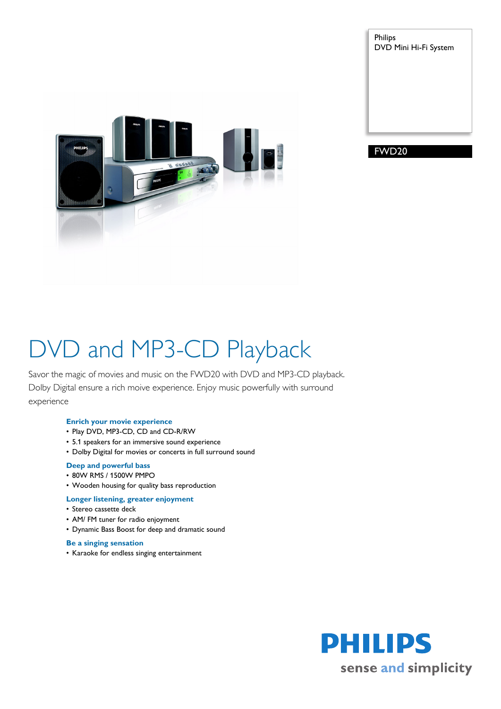Philips DVD Mini Hi-Fi System



FWD20

# DVD and MP3-CD Playback

Savor the magic of movies and music on the FWD20 with DVD and MP3-CD playback. Dolby Digital ensure a rich moive experience. Enjoy music powerfully with surround experience

## **Enrich your movie experience**

- Play DVD, MP3-CD, CD and CD-R/RW
- 5.1 speakers for an immersive sound experience
- Dolby Digital for movies or concerts in full surround sound

## **Deep and powerful bass**

- 80W RMS / 1500W PMPO
- Wooden housing for quality bass reproduction

### **Longer listening, greater enjoyment**

- Stereo cassette deck
- AM/ FM tuner for radio enjoyment
- Dynamic Bass Boost for deep and dramatic sound

### **Be a singing sensation**

• Karaoke for endless singing entertainment